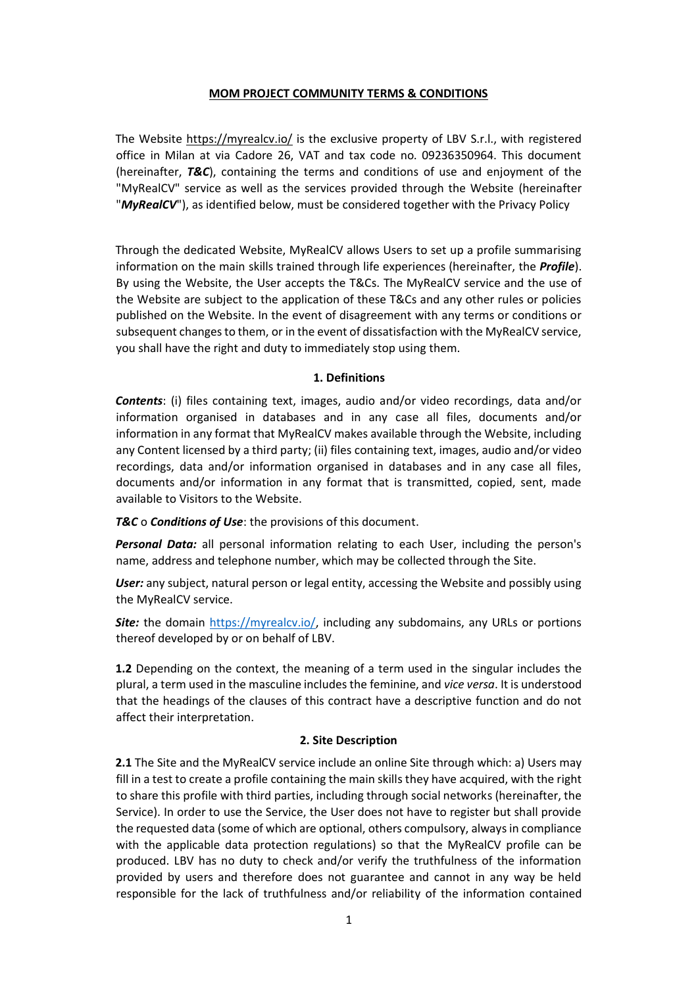#### **MOM PROJECT COMMUNITY TERMS & CONDITIONS**

The Website<https://myrealcv.io/> is the exclusive property of LBV S.r.l., with registered office in Milan at via Cadore 26, VAT and tax code no. 09236350964. This document (hereinafter, *T&C*), containing the terms and conditions of use and enjoyment of the "MyRealCV" service as well as the services provided through the Website (hereinafter "*MyRealCV*"), as identified below, must be considered together with the Privacy Policy

Through the dedicated Website, MyRealCV allows Users to set up a profile summarising information on the main skills trained through life experiences (hereinafter, the *Profile*). By using the Website, the User accepts the T&Cs. The MyRealCV service and the use of the Website are subject to the application of these T&Cs and any other rules or policies published on the Website. In the event of disagreement with any terms or conditions or subsequent changes to them, or in the event of dissatisfaction with the MyRealCV service, you shall have the right and duty to immediately stop using them.

#### **1. Definitions**

*Contents*: (i) files containing text, images, audio and/or video recordings, data and/or information organised in databases and in any case all files, documents and/or information in any format that MyRealCV makes available through the Website, including any Content licensed by a third party; (ii) files containing text, images, audio and/or video recordings, data and/or information organised in databases and in any case all files, documents and/or information in any format that is transmitted, copied, sent, made available to Visitors to the Website.

*T&C* o *Conditions of Use*: the provisions of this document.

*Personal Data:* all personal information relating to each User, including the person's name, address and telephone number, which may be collected through the Site.

User: any subject, natural person or legal entity, accessing the Website and possibly using the MyRealCV service.

*Site:* the domain [https://myrealcv.io/,](https://myrealcv.io/) including any subdomains, any URLs or portions thereof developed by or on behalf of LBV.

**1.2** Depending on the context, the meaning of a term used in the singular includes the plural, a term used in the masculine includes the feminine, and *vice versa*. It is understood that the headings of the clauses of this contract have a descriptive function and do not affect their interpretation.

#### **2. Site Description**

**2.1** The Site and the MyRealCV service include an online Site through which: a) Users may fill in a test to create a profile containing the main skills they have acquired, with the right to share this profile with third parties, including through social networks (hereinafter, the Service). In order to use the Service, the User does not have to register but shall provide the requested data (some of which are optional, others compulsory, always in compliance with the applicable data protection regulations) so that the MyRealCV profile can be produced. LBV has no duty to check and/or verify the truthfulness of the information provided by users and therefore does not guarantee and cannot in any way be held responsible for the lack of truthfulness and/or reliability of the information contained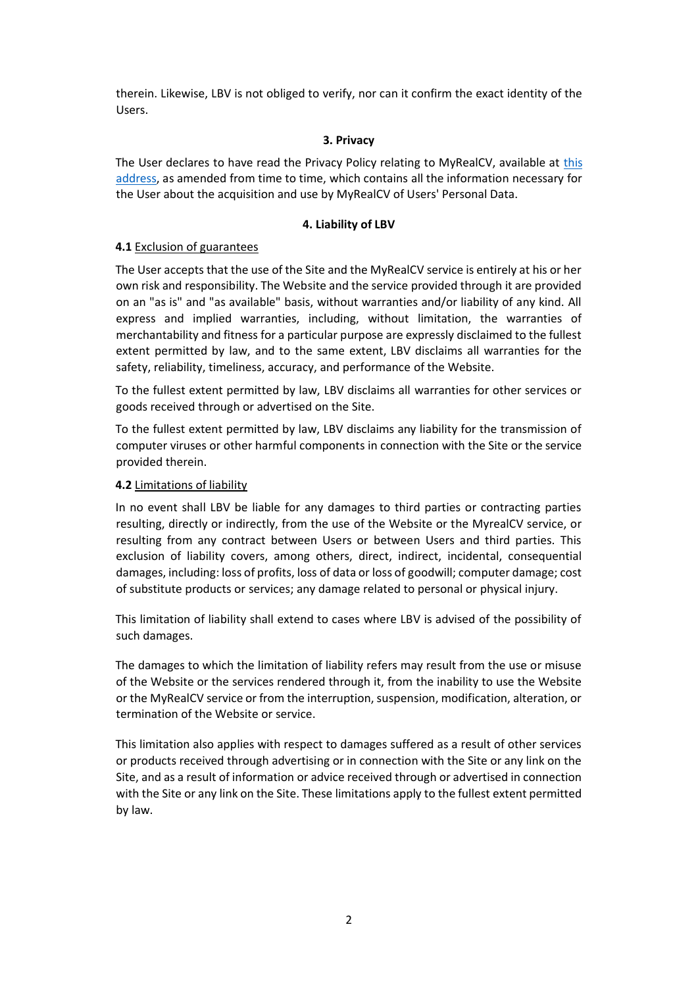therein. Likewise, LBV is not obliged to verify, nor can it confirm the exact identity of the Users.

### **3. Privacy**

The User declares to have read the Privacy Policy relating to MyRealCV, available at [this](https://myrealcv.io/wp-content/uploads/2021/11/MyRealCV-Privacy-Policy-EN.pdf)  [address,](https://myrealcv.io/wp-content/uploads/2021/11/MyRealCV-Privacy-Policy-EN.pdf) as amended from time to time, which contains all the information necessary for the User about the acquisition and use by MyRealCV of Users' Personal Data.

# **4. Liability of LBV**

### **4.1** Exclusion of guarantees

The User accepts that the use of the Site and the MyRealCV service is entirely at his or her own risk and responsibility. The Website and the service provided through it are provided on an "as is" and "as available" basis, without warranties and/or liability of any kind. All express and implied warranties, including, without limitation, the warranties of merchantability and fitness for a particular purpose are expressly disclaimed to the fullest extent permitted by law, and to the same extent, LBV disclaims all warranties for the safety, reliability, timeliness, accuracy, and performance of the Website.

To the fullest extent permitted by law, LBV disclaims all warranties for other services or goods received through or advertised on the Site.

To the fullest extent permitted by law, LBV disclaims any liability for the transmission of computer viruses or other harmful components in connection with the Site or the service provided therein.

## **4.2** Limitations of liability

In no event shall LBV be liable for any damages to third parties or contracting parties resulting, directly or indirectly, from the use of the Website or the MyrealCV service, or resulting from any contract between Users or between Users and third parties. This exclusion of liability covers, among others, direct, indirect, incidental, consequential damages, including: loss of profits, loss of data or loss of goodwill; computer damage; cost of substitute products or services; any damage related to personal or physical injury.

This limitation of liability shall extend to cases where LBV is advised of the possibility of such damages.

The damages to which the limitation of liability refers may result from the use or misuse of the Website or the services rendered through it, from the inability to use the Website or the MyRealCV service or from the interruption, suspension, modification, alteration, or termination of the Website or service.

This limitation also applies with respect to damages suffered as a result of other services or products received through advertising or in connection with the Site or any link on the Site, and as a result of information or advice received through or advertised in connection with the Site or any link on the Site. These limitations apply to the fullest extent permitted by law.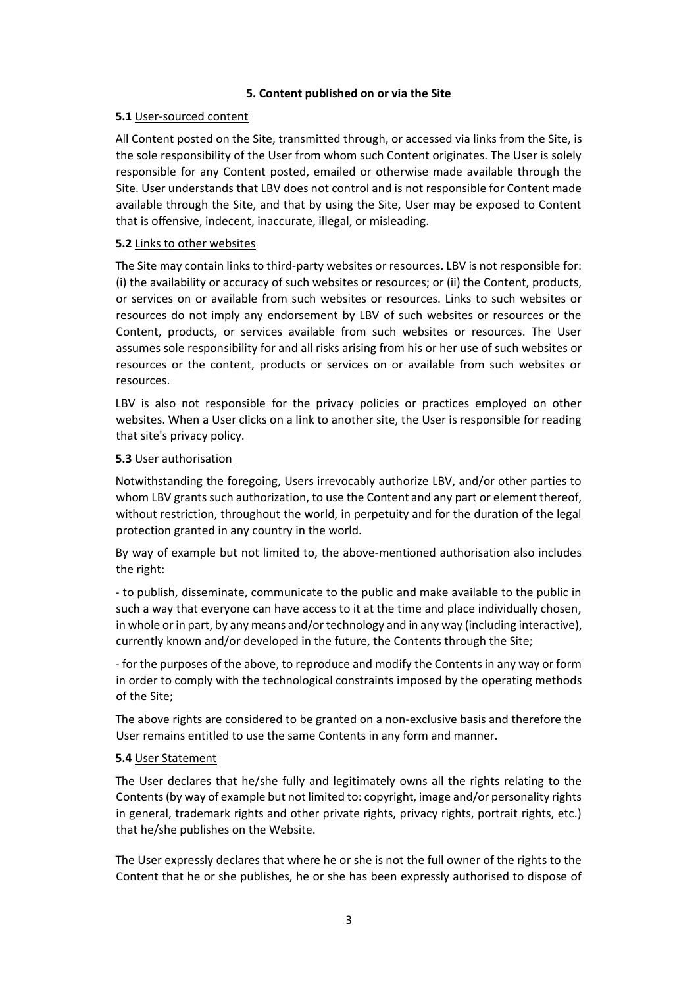## **5. Content published on or via the Site**

# **5.1** User-sourced content

All Content posted on the Site, transmitted through, or accessed via links from the Site, is the sole responsibility of the User from whom such Content originates. The User is solely responsible for any Content posted, emailed or otherwise made available through the Site. User understands that LBV does not control and is not responsible for Content made available through the Site, and that by using the Site, User may be exposed to Content that is offensive, indecent, inaccurate, illegal, or misleading.

## **5.2** Links to other websites

The Site may contain links to third-party websites or resources. LBV is not responsible for: (i) the availability or accuracy of such websites or resources; or (ii) the Content, products, or services on or available from such websites or resources. Links to such websites or resources do not imply any endorsement by LBV of such websites or resources or the Content, products, or services available from such websites or resources. The User assumes sole responsibility for and all risks arising from his or her use of such websites or resources or the content, products or services on or available from such websites or resources.

LBV is also not responsible for the privacy policies or practices employed on other websites. When a User clicks on a link to another site, the User is responsible for reading that site's privacy policy.

## **5.3** User authorisation

Notwithstanding the foregoing, Users irrevocably authorize LBV, and/or other parties to whom LBV grants such authorization, to use the Content and any part or element thereof, without restriction, throughout the world, in perpetuity and for the duration of the legal protection granted in any country in the world.

By way of example but not limited to, the above-mentioned authorisation also includes the right:

- to publish, disseminate, communicate to the public and make available to the public in such a way that everyone can have access to it at the time and place individually chosen, in whole or in part, by any means and/or technology and in any way (including interactive), currently known and/or developed in the future, the Contents through the Site;

- for the purposes of the above, to reproduce and modify the Contents in any way or form in order to comply with the technological constraints imposed by the operating methods of the Site;

The above rights are considered to be granted on a non-exclusive basis and therefore the User remains entitled to use the same Contents in any form and manner.

#### **5.4** User Statement

The User declares that he/she fully and legitimately owns all the rights relating to the Contents (by way of example but not limited to: copyright, image and/or personality rights in general, trademark rights and other private rights, privacy rights, portrait rights, etc.) that he/she publishes on the Website.

The User expressly declares that where he or she is not the full owner of the rights to the Content that he or she publishes, he or she has been expressly authorised to dispose of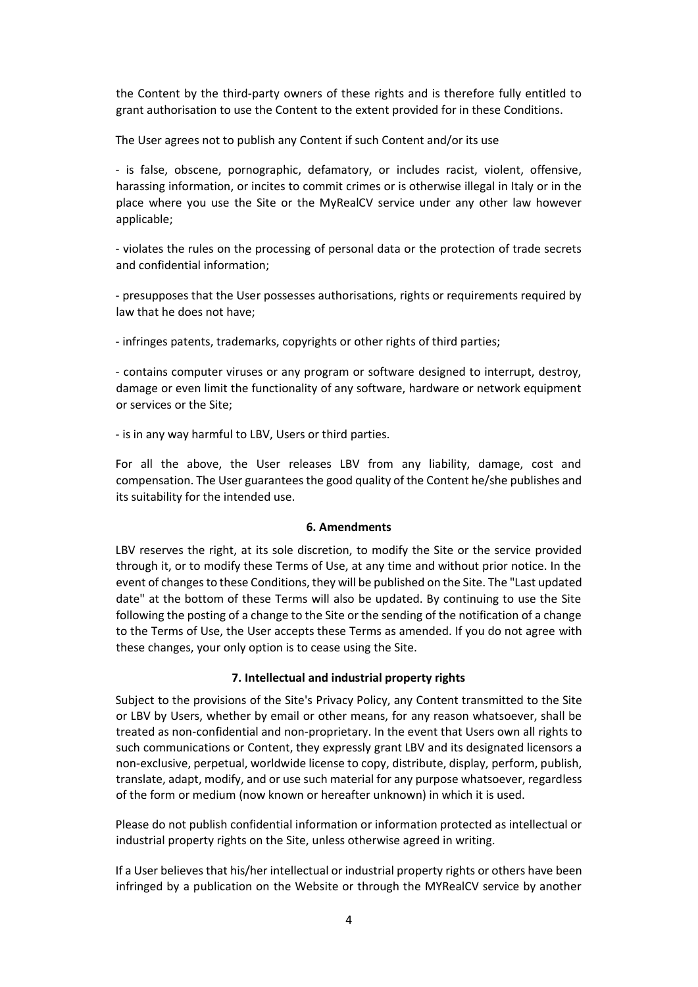the Content by the third-party owners of these rights and is therefore fully entitled to grant authorisation to use the Content to the extent provided for in these Conditions.

The User agrees not to publish any Content if such Content and/or its use

- is false, obscene, pornographic, defamatory, or includes racist, violent, offensive, harassing information, or incites to commit crimes or is otherwise illegal in Italy or in the place where you use the Site or the MyRealCV service under any other law however applicable;

- violates the rules on the processing of personal data or the protection of trade secrets and confidential information;

- presupposes that the User possesses authorisations, rights or requirements required by law that he does not have;

- infringes patents, trademarks, copyrights or other rights of third parties;

- contains computer viruses or any program or software designed to interrupt, destroy, damage or even limit the functionality of any software, hardware or network equipment or services or the Site;

- is in any way harmful to LBV, Users or third parties.

For all the above, the User releases LBV from any liability, damage, cost and compensation. The User guarantees the good quality of the Content he/she publishes and its suitability for the intended use.

#### **6. Amendments**

LBV reserves the right, at its sole discretion, to modify the Site or the service provided through it, or to modify these Terms of Use, at any time and without prior notice. In the event of changes to these Conditions, they will be published on the Site. The "Last updated date" at the bottom of these Terms will also be updated. By continuing to use the Site following the posting of a change to the Site or the sending of the notification of a change to the Terms of Use, the User accepts these Terms as amended. If you do not agree with these changes, your only option is to cease using the Site.

#### **7. Intellectual and industrial property rights**

Subject to the provisions of the Site's Privacy Policy, any Content transmitted to the Site or LBV by Users, whether by email or other means, for any reason whatsoever, shall be treated as non-confidential and non-proprietary. In the event that Users own all rights to such communications or Content, they expressly grant LBV and its designated licensors a non-exclusive, perpetual, worldwide license to copy, distribute, display, perform, publish, translate, adapt, modify, and or use such material for any purpose whatsoever, regardless of the form or medium (now known or hereafter unknown) in which it is used.

Please do not publish confidential information or information protected as intellectual or industrial property rights on the Site, unless otherwise agreed in writing.

If a User believes that his/her intellectual or industrial property rights or others have been infringed by a publication on the Website or through the MYRealCV service by another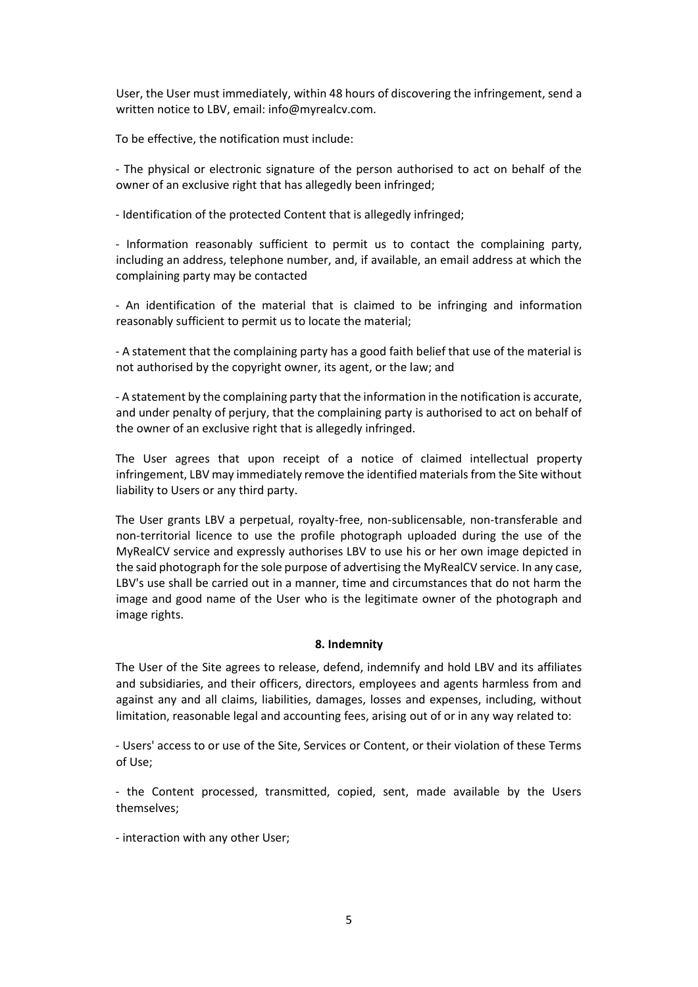User, the User must immediately, within 48 hours of discovering the infringement, send a written notice to LBV, email: info@myrealcv.com.

To be effective, the notification must include:

- The physical or electronic signature of the person authorised to act on behalf of the owner of an exclusive right that has allegedly been infringed;

- Identification of the protected Content that is allegedly infringed;

- Information reasonably sufficient to permit us to contact the complaining party, including an address, telephone number, and, if available, an email address at which the complaining party may be contacted

- An identification of the material that is claimed to be infringing and information reasonably sufficient to permit us to locate the material;

- A statement that the complaining party has a good faith belief that use of the material is not authorised by the copyright owner, its agent, or the law; and

- A statement by the complaining party that the information in the notification is accurate, and under penalty of perjury, that the complaining party is authorised to act on behalf of the owner of an exclusive right that is allegedly infringed.

The User agrees that upon receipt of a notice of claimed intellectual property infringement, LBV may immediately remove the identified materials from the Site without liability to Users or any third party.

The User grants LBV a perpetual, royalty-free, non-sublicensable, non-transferable and non-territorial licence to use the profile photograph uploaded during the use of the MyRealCV service and expressly authorises LBV to use his or her own image depicted in the said photograph for the sole purpose of advertising the MyRealCV service. In any case, LBV's use shall be carried out in a manner, time and circumstances that do not harm the image and good name of the User who is the legitimate owner of the photograph and image rights.

#### **8. Indemnity**

The User of the Site agrees to release, defend, indemnify and hold LBV and its affiliates and subsidiaries, and their officers, directors, employees and agents harmless from and against any and all claims, liabilities, damages, losses and expenses, including, without limitation, reasonable legal and accounting fees, arising out of or in any way related to:

- Users' access to or use of the Site, Services or Content, or their violation of these Terms of Use;

- the Content processed, transmitted, copied, sent, made available by the Users themselves;

- interaction with any other User;